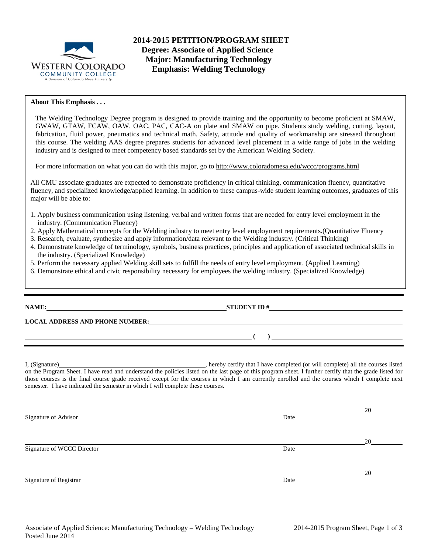

**2014-2015 PETITION/PROGRAM SHEET Degree: Associate of Applied Science Major: Manufacturing Technology Emphasis: Welding Technology**

## **About This Emphasis . . .**

The Welding Technology Degree program is designed to provide training and the opportunity to become proficient at SMAW, GWAW, GTAW, FCAW, OAW, OAC, PAC, CAC-A on plate and SMAW on pipe. Students study welding, cutting, layout, fabrication, fluid power, pneumatics and technical math. Safety, attitude and quality of workmanship are stressed throughout this course. The welding AAS degree prepares students for advanced level placement in a wide range of jobs in the welding industry and is designed to meet competency based standards set by the American Welding Society.

For more information on what you can do with this major, go to http://www.coloradomesa.edu/wccc/programs.html

All CMU associate graduates are expected to demonstrate proficiency in critical thinking, communication fluency, quantitative fluency, and specialized knowledge/applied learning. In addition to these campus-wide student learning outcomes, graduates of this major will be able to:

- 1. Apply business communication using listening, verbal and written forms that are needed for entry level employment in the industry. (Communication Fluency)
- 2. Apply Mathematical concepts for the Welding industry to meet entry level employment requirements.(Quantitative Fluency
- 3. Research, evaluate, synthesize and apply information/data relevant to the Welding industry. (Critical Thinking)
- 4. Demonstrate knowledge of terminology, symbols, business practices, principles and application of associated technical skills in the industry. (Specialized Knowledge)
- 5. Perform the necessary applied Welding skill sets to fulfill the needs of entry level employment. (Applied Learning)
- 6. Demonstrate ethical and civic responsibility necessary for employees the welding industry. (Specialized Knowledge)

| LOCAL ADDRESS AND PHONE NUMBER: The contract of the contract of the contract of the contract of the contract of the contract of the contract of the contract of the contract of the contract of the contract of the contract o                                                                                                                                                                |  |
|-----------------------------------------------------------------------------------------------------------------------------------------------------------------------------------------------------------------------------------------------------------------------------------------------------------------------------------------------------------------------------------------------|--|
| <u> до селото на селото на селото на селото на селото на селото на селото на селото на селото на селото на селото н</u>                                                                                                                                                                                                                                                                       |  |
| on the Program Sheet. I have read and understand the policies listed on the last page of this program sheet. I further certify that the grade listed for<br>those courses is the final course grade received except for the courses in which I am currently enrolled and the courses which I complete next<br>semester. I have indicated the semester in which I will complete these courses. |  |
| Signature of Advisor<br>Date                                                                                                                                                                                                                                                                                                                                                                  |  |

Signature of WCCC Director Date

Signature of Registrar Date Date of Registrar Date Date of Registrar Date Date of Registrar Date Date of Registrar Date of  $\alpha$ 

20

20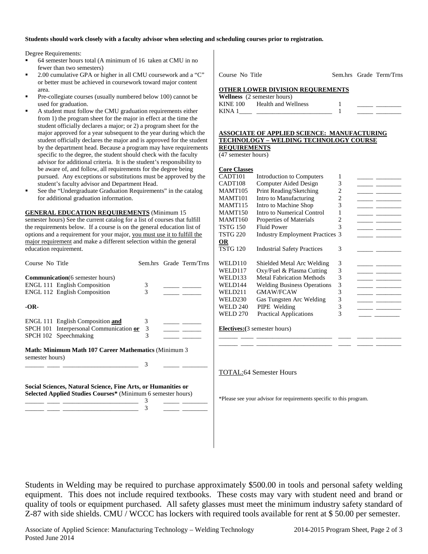### **Students should work closely with a faculty advisor when selecting and scheduling courses prior to registration.**

Degree Requirements:

- 64 semester hours total (A minimum of 16 taken at CMU in no fewer than two semesters)
- 2.00 cumulative GPA or higher in all CMU coursework and a "C" or better must be achieved in coursework toward major content area.
- Pre-collegiate courses (usually numbered below 100) cannot be used for graduation.
- A student must follow the CMU graduation requirements either from 1) the program sheet for the major in effect at the time the student officially declares a major; or 2) a program sheet for the major approved for a year subsequent to the year during which the student officially declares the major and is approved for the student by the department head. Because a program may have requirements specific to the degree, the student should check with the faculty advisor for additional criteria. It is the student's responsibility to be aware of, and follow, all requirements for the degree being pursued. Any exceptions or substitutions must be approved by the student's faculty advisor and Department Head.
- See the "Undergraduate Graduation Requirements" in the catalog for additional graduation information.

**GENERAL EDUCATION REQUIREMENTS** (Minimum 15 semester hours) See the current catalog for a list of courses that fulfill the requirements below. If a course is on the general education list of options and a requirement for your major, you must use it to fulfill the major requirement and make a different selection within the general education requirement.

| Course No Title                                                                                                               |                                                                                                                       |             |  | Sem.hrs Grade Term/Trns |  |
|-------------------------------------------------------------------------------------------------------------------------------|-----------------------------------------------------------------------------------------------------------------------|-------------|--|-------------------------|--|
|                                                                                                                               | <b>Communication</b> (6 semester hours)<br><b>ENGL 111 English Composition</b><br><b>ENGL 112 English Composition</b> | 3<br>3      |  |                         |  |
| -OR-                                                                                                                          |                                                                                                                       |             |  |                         |  |
|                                                                                                                               | ENGL 111 English Composition and<br>SPCH 101 Interpersonal Communication or<br>SPCH 102 Speechmaking                  | 3<br>3<br>3 |  |                         |  |
| <b>Math: Minimum Math 107 Career Mathematics (Minimum 3)</b><br>semester hours)<br>3                                          |                                                                                                                       |             |  |                         |  |
| Social Sciences, Natural Science, Fine Arts, or Humanities or<br>Selected Applied Studies Courses* (Minimum 6 semester hours) |                                                                                                                       |             |  |                         |  |
|                                                                                                                               |                                                                                                                       | 3           |  |                         |  |

\_\_\_\_\_\_ \_\_\_\_ \_\_\_\_\_\_\_\_\_\_\_\_\_\_\_\_\_\_\_\_\_\_\_\_ 3 \_\_\_\_\_ \_\_\_\_\_\_\_\_

Course No Title Sem.hrs Grade Term/Trns

**OTHER LOWER DIVISION REQUREMENTS**

|          | <b>Wellness</b> (2 semester hours) |  |  |
|----------|------------------------------------|--|--|
| KINE 100 | Health and Wellness                |  |  |
| KINA 1   |                                    |  |  |

#### **ASSOCIATE OF APPLIED SCIENCE: MANUFACTURING TECHNOLOGY – WELDING TECHNOLOGY COURSE REQUIREMENTS**

(47 semester hours)

| <b>Core Classes</b> |                                        |   |  |
|---------------------|----------------------------------------|---|--|
| CADT101             | Introduction to Computers              | 1 |  |
| CADT108             | Computer Aided Design                  | 3 |  |
| MAMT105             | Print Reading/Sketching                | 2 |  |
| MAMT101             | Intro to Manufacturing                 | 2 |  |
| MAMT115             | Intro to Machine Shop                  | 3 |  |
| <b>MAMT150</b>      | Intro to Numerical Control             | 1 |  |
| MAMT160             | Properties of Materials                | 2 |  |
| TSTG 150            | <b>Fluid Power</b>                     | 3 |  |
| <b>TSTG 220</b>     | <b>Industry Employment Practices 3</b> |   |  |
| OR                  |                                        |   |  |
| TSTG 120            | <b>Industrial Safety Practices</b>     | 3 |  |
|                     |                                        |   |  |
| WELD110             | Shielded Metal Arc Welding             | 3 |  |
| WELD117             | Oxy/Fuel & Plasma Cutting              | 3 |  |
| WELD133             | <b>Metal Fabrication Methods</b>       | 3 |  |
| WELD144             | <b>Welding Business Operations</b>     | 3 |  |
| WELD211             | <b>GMAW/FCAW</b>                       | 3 |  |
| <b>WELD230</b>      | Gas Tungsten Arc Welding               | 3 |  |
| WELD 240            | PIPE Welding                           | 3 |  |
| <b>WELD 270</b>     | <b>Practical Applications</b>          | 3 |  |
|                     |                                        |   |  |
|                     |                                        |   |  |

\_\_\_\_\_\_ \_\_\_\_ \_\_\_\_\_\_\_\_\_\_\_\_\_\_\_\_\_\_\_\_\_\_\_\_ \_\_\_\_ \_\_\_\_\_ \_\_\_\_\_\_\_\_ \_\_\_\_\_\_ \_\_\_\_ \_\_\_\_\_\_\_\_\_\_\_\_\_\_\_\_\_\_\_\_\_\_\_\_ \_\_\_\_ \_\_\_\_\_ \_\_\_\_\_\_\_\_

**Electives:(**3 semester hours)

TOTAL:64 Semester Hours

\*Please see your advisor for requirements specific to this program.

Students in Welding may be required to purchase approximately \$500.00 in tools and personal safety welding equipment. This does not include required textbooks. These costs may vary with student need and brand or quality of tools or equipment purchased. All safety glasses must meet the minimum industry safety standard of Z-87 with side shields. CMU / WCCC has lockers with required tools available for rent at \$ 50.00 per semester.